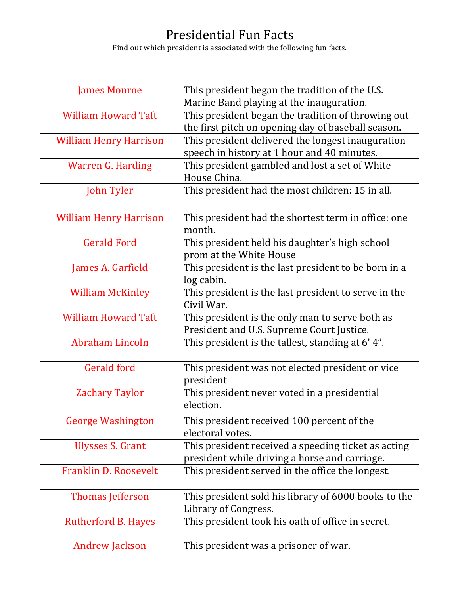## Presidential Fun Facts

Find out which president is associated with the following fun facts.

| <b>James Monroe</b>           | This president began the tradition of the U.S.                            |
|-------------------------------|---------------------------------------------------------------------------|
|                               | Marine Band playing at the inauguration.                                  |
| <b>William Howard Taft</b>    | This president began the tradition of throwing out                        |
|                               | the first pitch on opening day of baseball season.                        |
| <b>William Henry Harrison</b> | This president delivered the longest inauguration                         |
|                               | speech in history at 1 hour and 40 minutes.                               |
| <b>Warren G. Harding</b>      | This president gambled and lost a set of White                            |
|                               | House China.                                                              |
| John Tyler                    | This president had the most children: 15 in all.                          |
| <b>William Henry Harrison</b> | This president had the shortest term in office: one<br>month.             |
| <b>Gerald Ford</b>            | This president held his daughter's high school<br>prom at the White House |
| James A. Garfield             | This president is the last president to be born in a                      |
|                               | log cabin.                                                                |
| <b>William McKinley</b>       | This president is the last president to serve in the                      |
|                               | Civil War.                                                                |
| <b>William Howard Taft</b>    | This president is the only man to serve both as                           |
|                               | President and U.S. Supreme Court Justice.                                 |
| Abraham Lincoln               | This president is the tallest, standing at 6'4".                          |
| <b>Gerald ford</b>            | This president was not elected president or vice                          |
|                               | president                                                                 |
| <b>Zachary Taylor</b>         | This president never voted in a presidential                              |
|                               | election.                                                                 |
| <b>George Washington</b>      | This president received 100 percent of the                                |
|                               | electoral votes.                                                          |
| <b>Ulysses S. Grant</b>       | This president received a speeding ticket as acting                       |
|                               | president while driving a horse and carriage.                             |
| Franklin D. Roosevelt         | This president served in the office the longest.                          |
| <b>Thomas Jefferson</b>       | This president sold his library of 6000 books to the                      |
|                               | Library of Congress.                                                      |
| Rutherford B. Hayes           | This president took his oath of office in secret.                         |
| <b>Andrew Jackson</b>         | This president was a prisoner of war.                                     |